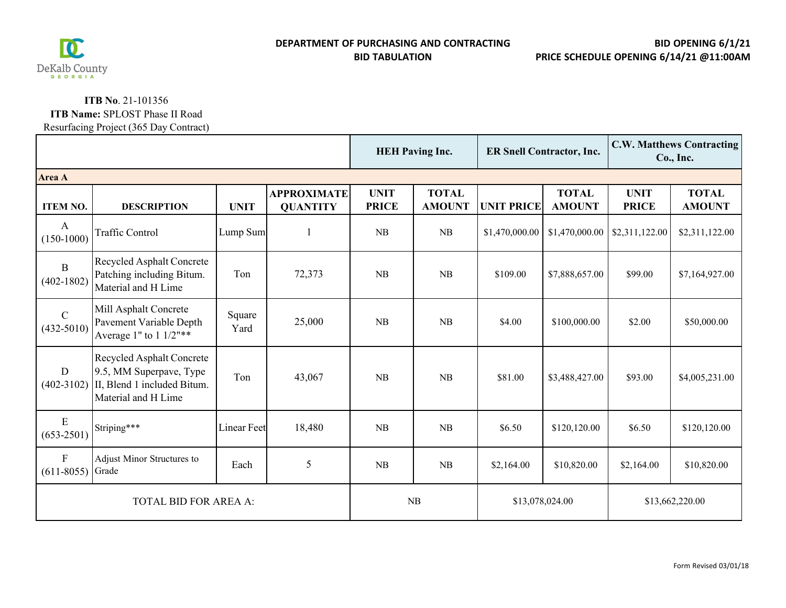

## **ITB No**. 21-101356

## **ITB Name:** SPLOST Phase II Road

Resurfacing Project (365 Day Contract)

|                                 |                                                                                                                   |                    |                                       | <b>HEH Paving Inc.</b>      |                               | <b>ER Snell Contractor, Inc.</b> |                               | <b>C.W. Matthews Contracting</b><br>Co., Inc. |                               |  |  |
|---------------------------------|-------------------------------------------------------------------------------------------------------------------|--------------------|---------------------------------------|-----------------------------|-------------------------------|----------------------------------|-------------------------------|-----------------------------------------------|-------------------------------|--|--|
| Area A                          |                                                                                                                   |                    |                                       |                             |                               |                                  |                               |                                               |                               |  |  |
| <b>ITEM NO.</b>                 | <b>DESCRIPTION</b>                                                                                                | <b>UNIT</b>        | <b>APPROXIMATE</b><br><b>QUANTITY</b> | <b>UNIT</b><br><b>PRICE</b> | <b>TOTAL</b><br><b>AMOUNT</b> | <b>UNIT PRICE</b>                | <b>TOTAL</b><br><b>AMOUNT</b> | <b>UNIT</b><br><b>PRICE</b>                   | <b>TOTAL</b><br><b>AMOUNT</b> |  |  |
| A<br>$(150-1000)$               | <b>Traffic Control</b>                                                                                            | Lump Sum           |                                       | NB                          | NB                            | \$1,470,000.00                   | \$1,470,000.00                | \$2,311,122.00                                | \$2,311,122.00                |  |  |
| $\mathbf{B}$<br>$(402 - 1802)$  | Recycled Asphalt Concrete<br>Patching including Bitum.<br>Material and H Lime                                     | Ton                | 72,373                                | <b>NB</b>                   | <b>NB</b>                     | \$109.00                         | \$7,888,657.00                | \$99.00                                       | \$7,164,927.00                |  |  |
| $\mathcal{C}$<br>$(432 - 5010)$ | Mill Asphalt Concrete<br>Pavement Variable Depth<br>Average 1" to $1 \frac{1}{2}$ "**                             | Square<br>Yard     | 25,000                                | <b>NB</b>                   | <b>NB</b>                     | \$4.00                           | \$100,000.00                  | \$2.00                                        | \$50,000.00                   |  |  |
| D<br>$(402 - 3102)$             | <b>Recycled Asphalt Concrete</b><br>9.5, MM Superpave, Type<br>II, Blend 1 included Bitum.<br>Material and H Lime | Ton                | 43,067                                | NB                          | NB                            | \$81.00                          | \$3,488,427.00                | \$93.00                                       | \$4,005,231.00                |  |  |
| E<br>$(653 - 2501)$             | Striping***                                                                                                       | <b>Linear Feet</b> | 18,480                                | <b>NB</b>                   | <b>NB</b>                     | \$6.50                           | \$120,120.00                  | \$6.50                                        | \$120,120.00                  |  |  |
| $\mathbf{F}$<br>$(611 - 8055)$  | Adjust Minor Structures to<br>Grade                                                                               | Each               | 5                                     | NB                          | <b>NB</b>                     | \$2,164.00                       | \$10,820.00                   | \$2,164.00                                    | \$10,820.00                   |  |  |
| <b>TOTAL BID FOR AREA A:</b>    |                                                                                                                   |                    |                                       | NB                          |                               | \$13,078,024.00                  |                               | \$13,662,220.00                               |                               |  |  |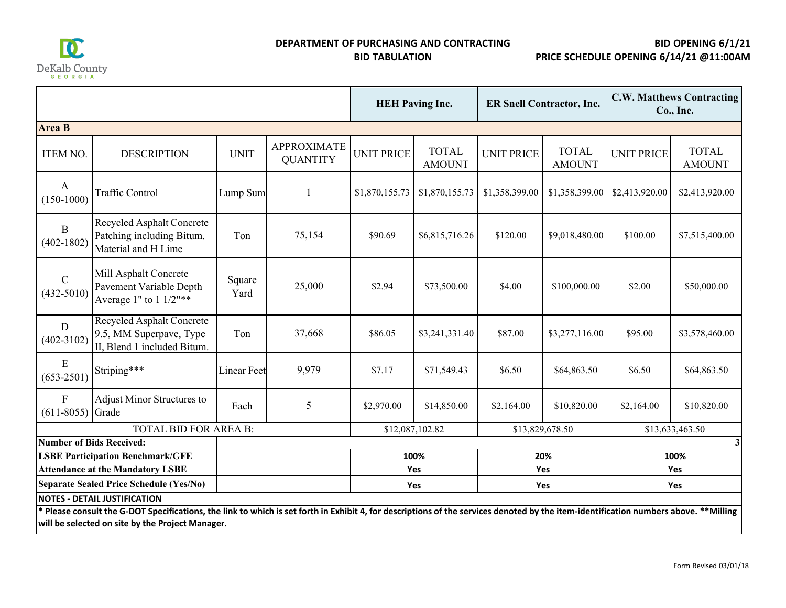

## **DEPARTMENT OF PURCHASING AND CONTRACTING BID TABULATION**

**BID OPENING 6/1/21 PRICE SCHEDULE OPENING 6/14/21 @11:00AM**

|                                                                                           |                                                                                            |                    |                                       | <b>HEH Paving Inc.</b> |                               | <b>ER Snell Contractor, Inc.</b> |                               | <b>C.W. Matthews Contracting</b><br>Co., Inc. |                               |  |
|-------------------------------------------------------------------------------------------|--------------------------------------------------------------------------------------------|--------------------|---------------------------------------|------------------------|-------------------------------|----------------------------------|-------------------------------|-----------------------------------------------|-------------------------------|--|
| <b>Area B</b>                                                                             |                                                                                            |                    |                                       |                        |                               |                                  |                               |                                               |                               |  |
| <b>ITEM NO.</b>                                                                           | <b>DESCRIPTION</b>                                                                         | <b>UNIT</b>        | <b>APPROXIMATE</b><br><b>QUANTITY</b> | <b>UNIT PRICE</b>      | <b>TOTAL</b><br><b>AMOUNT</b> | <b>UNIT PRICE</b>                | <b>TOTAL</b><br><b>AMOUNT</b> | <b>UNIT PRICE</b>                             | <b>TOTAL</b><br><b>AMOUNT</b> |  |
| $\mathbf{A}$<br>$(150-1000)$                                                              | <b>Traffic Control</b>                                                                     | Lump Sum           |                                       | \$1,870,155.73         | \$1,870,155.73                | \$1,358,399.00                   | \$1,358,399.00                | \$2,413,920.00                                | \$2,413,920.00                |  |
| B<br>$(402 - 1802)$                                                                       | <b>Recycled Asphalt Concrete</b><br>Patching including Bitum.<br>Material and H Lime       | Ton                | 75,154                                | \$90.69                | \$6,815,716.26                | \$120.00                         | \$9,018,480.00                | \$100.00                                      | \$7,515,400.00                |  |
| $\mathcal{C}$<br>$(432 - 5010)$                                                           | Mill Asphalt Concrete<br>Pavement Variable Depth<br>Average 1" to $1 \frac{1}{2}$ "**      | Square<br>Yard     | 25,000                                | \$2.94                 | \$73,500.00                   | \$4.00                           | \$100,000.00                  | \$2.00                                        | \$50,000.00                   |  |
| D<br>$(402 - 3102)$                                                                       | <b>Recycled Asphalt Concrete</b><br>9.5, MM Superpave, Type<br>II, Blend 1 included Bitum. | Ton                | 37,668                                | \$86.05                | \$3,241,331.40                | \$87.00                          | \$3,277,116.00                | \$95.00                                       | \$3,578,460.00                |  |
| E<br>$(653 - 2501)$                                                                       | Striping***                                                                                | <b>Linear Feet</b> | 9,979                                 | \$7.17                 | \$71,549.43                   | \$6.50                           | \$64,863.50                   | \$6.50                                        | \$64,863.50                   |  |
| $F_{\rm}$<br>$(611-8055)$ Grade                                                           | Adjust Minor Structures to                                                                 | Each               | 5                                     | \$2,970.00             | \$14,850.00                   | \$2,164.00                       | \$10,820.00                   | \$2,164.00                                    | \$10,820.00                   |  |
| <b>TOTAL BID FOR AREA B:</b>                                                              |                                                                                            |                    |                                       | \$12,087,102.82        |                               | \$13,829,678.50                  |                               | \$13,633,463.50                               |                               |  |
| <b>Number of Bids Received:</b>                                                           |                                                                                            |                    |                                       |                        |                               |                                  | $\mathbf{3}$                  |                                               |                               |  |
| <b>LSBE Participation Benchmark/GFE</b>                                                   |                                                                                            |                    |                                       |                        | 100%<br>Yes                   |                                  | 20%<br>Yes                    |                                               | 100%                          |  |
| <b>Attendance at the Mandatory LSBE</b><br><b>Separate Sealed Price Schedule (Yes/No)</b> |                                                                                            |                    |                                       |                        |                               |                                  |                               | Yes                                           |                               |  |
|                                                                                           |                                                                                            |                    |                                       |                        | Yes                           |                                  | Yes                           |                                               | Yes                           |  |
| <b>NOTES - DETAIL JUSTIFICATION</b>                                                       |                                                                                            |                    |                                       |                        |                               |                                  |                               |                                               |                               |  |

\* Please consult the G-DOT Specifications, the link to which is set forth in Exhibit 4, for descriptions of the services denoted by the item-identification numbers above. \*\*Milling **will be selected on site by the Project Manager.**